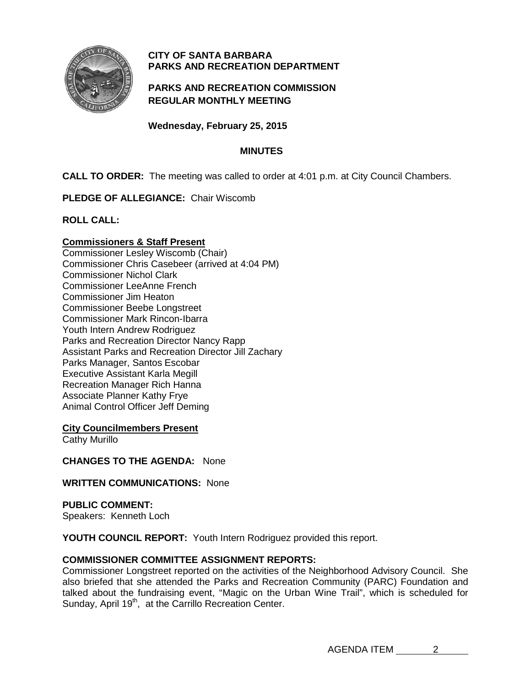

# **CITY OF SANTA BARBARA PARKS AND RECREATION DEPARTMENT**

## **PARKS AND RECREATION COMMISSION REGULAR MONTHLY MEETING**

**Wednesday, February 25, 2015**

## **MINUTES**

**CALL TO ORDER:** The meeting was called to order at 4:01 p.m. at City Council Chambers.

**PLEDGE OF ALLEGIANCE:** Chair Wiscomb

**ROLL CALL:**

## **Commissioners & Staff Present**

Commissioner Lesley Wiscomb (Chair) Commissioner Chris Casebeer (arrived at 4:04 PM) Commissioner Nichol Clark Commissioner LeeAnne French Commissioner Jim Heaton Commissioner Beebe Longstreet Commissioner Mark Rincon-Ibarra Youth Intern Andrew Rodriguez Parks and Recreation Director Nancy Rapp Assistant Parks and Recreation Director Jill Zachary Parks Manager, Santos Escobar Executive Assistant Karla Megill Recreation Manager Rich Hanna Associate Planner Kathy Frye Animal Control Officer Jeff Deming

**City Councilmembers Present**

Cathy Murillo

**CHANGES TO THE AGENDA:** None

**WRITTEN COMMUNICATIONS:** None

**PUBLIC COMMENT:** 

Speakers: Kenneth Loch

**YOUTH COUNCIL REPORT:** Youth Intern Rodriguez provided this report.

# **COMMISSIONER COMMITTEE ASSIGNMENT REPORTS:**

Commissioner Longstreet reported on the activities of the Neighborhood Advisory Council. She also briefed that she attended the Parks and Recreation Community (PARC) Foundation and talked about the fundraising event, "Magic on the Urban Wine Trail", which is scheduled for Sunday, April 19<sup>th</sup>, at the Carrillo Recreation Center.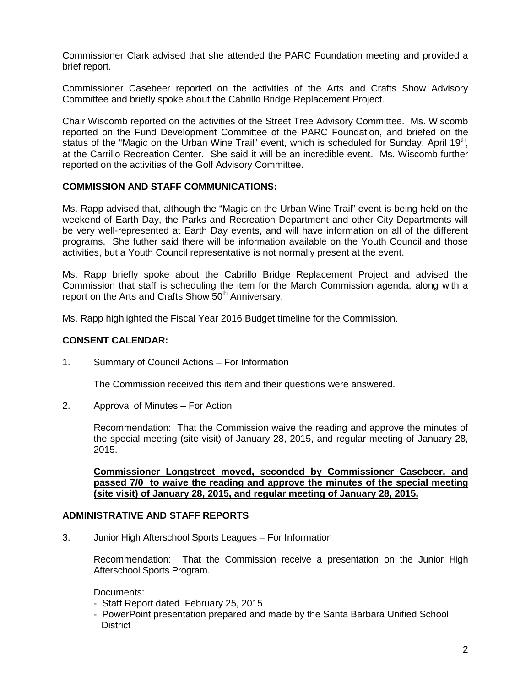Commissioner Clark advised that she attended the PARC Foundation meeting and provided a brief report.

Commissioner Casebeer reported on the activities of the Arts and Crafts Show Advisory Committee and briefly spoke about the Cabrillo Bridge Replacement Project.

Chair Wiscomb reported on the activities of the Street Tree Advisory Committee. Ms. Wiscomb reported on the Fund Development Committee of the PARC Foundation, and briefed on the status of the "Magic on the Urban Wine Trail" event, which is scheduled for Sunday, April 19<sup>th</sup>, at the Carrillo Recreation Center. She said it will be an incredible event. Ms. Wiscomb further reported on the activities of the Golf Advisory Committee.

#### **COMMISSION AND STAFF COMMUNICATIONS:**

Ms. Rapp advised that, although the "Magic on the Urban Wine Trail" event is being held on the weekend of Earth Day, the Parks and Recreation Department and other City Departments will be very well-represented at Earth Day events, and will have information on all of the different programs. She futher said there will be information available on the Youth Council and those activities, but a Youth Council representative is not normally present at the event.

Ms. Rapp briefly spoke about the Cabrillo Bridge Replacement Project and advised the Commission that staff is scheduling the item for the March Commission agenda, along with a report on the Arts and Crafts Show 50<sup>th</sup> Anniversary.

Ms. Rapp highlighted the Fiscal Year 2016 Budget timeline for the Commission.

## **CONSENT CALENDAR:**

1. Summary of Council Actions – For Information

The Commission received this item and their questions were answered.

2. Approval of Minutes – For Action

Recommendation: That the Commission waive the reading and approve the minutes of the special meeting (site visit) of January 28, 2015, and regular meeting of January 28, 2015.

**Commissioner Longstreet moved, seconded by Commissioner Casebeer, and passed 7/0 to waive the reading and approve the minutes of the special meeting (site visit) of January 28, 2015, and regular meeting of January 28, 2015.**

### **ADMINISTRATIVE AND STAFF REPORTS**

3. Junior High Afterschool Sports Leagues – For Information

Recommendation: That the Commission receive a presentation on the Junior High Afterschool Sports Program.

#### Documents:

- Staff Report dated February 25, 2015
- PowerPoint presentation prepared and made by the Santa Barbara Unified School **District**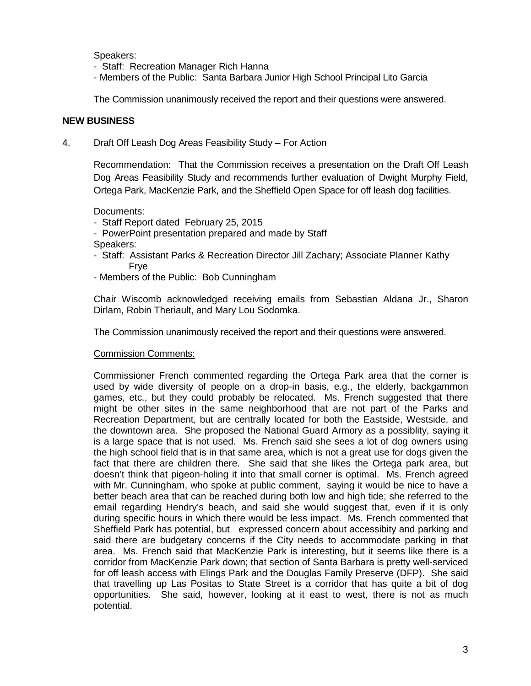Speakers:

- Staff: Recreation Manager Rich Hanna
- Members of the Public: Santa Barbara Junior High School Principal Lito Garcia

The Commission unanimously received the report and their questions were answered.

### **NEW BUSINESS**

4. Draft Off Leash Dog Areas Feasibility Study – For Action

Recommendation: That the Commission receives a presentation on the Draft Off Leash Dog Areas Feasibility Study and recommends further evaluation of Dwight Murphy Field, Ortega Park, MacKenzie Park, and the Sheffield Open Space for off leash dog facilities.

Documents:

- Staff Report dated February 25, 2015
- PowerPoint presentation prepared and made by Staff
- Speakers:
- Staff: Assistant Parks & Recreation Director Jill Zachary; Associate Planner Kathy Frye
- Members of the Public: Bob Cunningham

Chair Wiscomb acknowledged receiving emails from Sebastian Aldana Jr., Sharon Dirlam, Robin Theriault, and Mary Lou Sodomka.

The Commission unanimously received the report and their questions were answered.

#### Commission Comments:

Commissioner French commented regarding the Ortega Park area that the corner is used by wide diversity of people on a drop-in basis, e.g., the elderly, backgammon games, etc., but they could probably be relocated. Ms. French suggested that there might be other sites in the same neighborhood that are not part of the Parks and Recreation Department, but are centrally located for both the Eastside, Westside, and the downtown area. She proposed the National Guard Armory as a possiblity, saying it is a large space that is not used. Ms. French said she sees a lot of dog owners using the high school field that is in that same area, which is not a great use for dogs given the fact that there are children there. She said that she likes the Ortega park area, but doesn't think that pigeon-holing it into that small corner is optimal. Ms. French agreed with Mr. Cunningham, who spoke at public comment, saying it would be nice to have a better beach area that can be reached during both low and high tide; she referred to the email regarding Hendry's beach, and said she would suggest that, even if it is only during specific hours in which there would be less impact. Ms. French commented that Sheffield Park has potential, but expressed concern about accessibity and parking and said there are budgetary concerns if the City needs to accommodate parking in that area. Ms. French said that MacKenzie Park is interesting, but it seems like there is a corridor from MacKenzie Park down; that section of Santa Barbara is pretty well-serviced for off leash access with Elings Park and the Douglas Family Preserve (DFP). She said that travelling up Las Positas to State Street is a corridor that has quite a bit of dog opportunities. She said, however, looking at it east to west, there is not as much potential.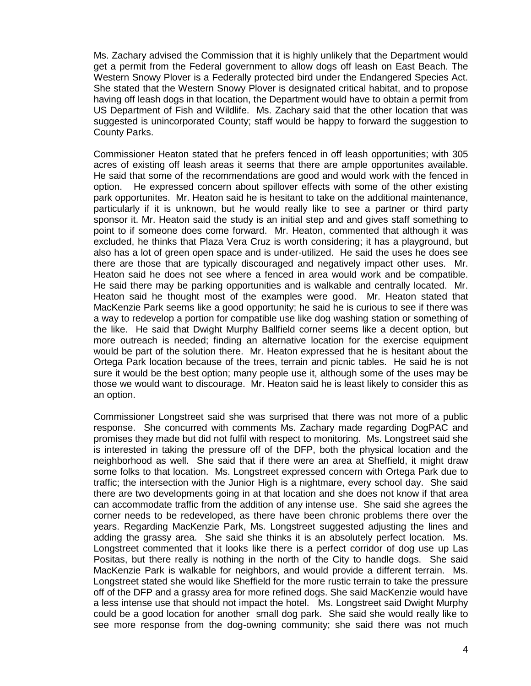Ms. Zachary advised the Commission that it is highly unlikely that the Department would get a permit from the Federal government to allow dogs off leash on East Beach. The Western Snowy Plover is a Federally protected bird under the Endangered Species Act. She stated that the Western Snowy Plover is designated critical habitat, and to propose having off leash dogs in that location, the Department would have to obtain a permit from US Department of Fish and Wildlife. Ms. Zachary said that the other location that was suggested is unincorporated County; staff would be happy to forward the suggestion to County Parks.

Commissioner Heaton stated that he prefers fenced in off leash opportunities; with 305 acres of existing off leash areas it seems that there are ample opportunites available. He said that some of the recommendations are good and would work with the fenced in option. He expressed concern about spillover effects with some of the other existing park opportunites. Mr. Heaton said he is hesitant to take on the additional maintenance, particularly if it is unknown, but he would really like to see a partner or third party sponsor it. Mr. Heaton said the study is an initial step and and gives staff something to point to if someone does come forward. Mr. Heaton, commented that although it was excluded, he thinks that Plaza Vera Cruz is worth considering; it has a playground, but also has a lot of green open space and is under-utilized. He said the uses he does see there are those that are typically discouraged and negatively impact other uses. Mr. Heaton said he does not see where a fenced in area would work and be compatible. He said there may be parking opportunities and is walkable and centrally located. Mr. Heaton said he thought most of the examples were good. Mr. Heaton stated that MacKenzie Park seems like a good opportunity; he said he is curious to see if there was a way to redevelop a portion for compatible use like dog washing station or something of the like. He said that Dwight Murphy Ballfield corner seems like a decent option, but more outreach is needed; finding an alternative location for the exercise equipment would be part of the solution there. Mr. Heaton expressed that he is hesitant about the Ortega Park location because of the trees, terrain and picnic tables. He said he is not sure it would be the best option; many people use it, although some of the uses may be those we would want to discourage. Mr. Heaton said he is least likely to consider this as an option.

Commissioner Longstreet said she was surprised that there was not more of a public response. She concurred with comments Ms. Zachary made regarding DogPAC and promises they made but did not fulfil with respect to monitoring. Ms. Longstreet said she is interested in taking the pressure off of the DFP, both the physical location and the neighborhood as well. She said that if there were an area at Sheffield, it might draw some folks to that location. Ms. Longstreet expressed concern with Ortega Park due to traffic; the intersection with the Junior High is a nightmare, every school day. She said there are two developments going in at that location and she does not know if that area can accommodate traffic from the addition of any intense use. She said she agrees the corner needs to be redeveloped, as there have been chronic problems there over the years. Regarding MacKenzie Park, Ms. Longstreet suggested adjusting the lines and adding the grassy area. She said she thinks it is an absolutely perfect location. Ms. Longstreet commented that it looks like there is a perfect corridor of dog use up Las Positas, but there really is nothing in the north of the City to handle dogs. She said MacKenzie Park is walkable for neighbors, and would provide a different terrain. Ms. Longstreet stated she would like Sheffield for the more rustic terrain to take the pressure off of the DFP and a grassy area for more refined dogs. She said MacKenzie would have a less intense use that should not impact the hotel. Ms. Longstreet said Dwight Murphy could be a good location for another small dog park. She said she would really like to see more response from the dog-owning community; she said there was not much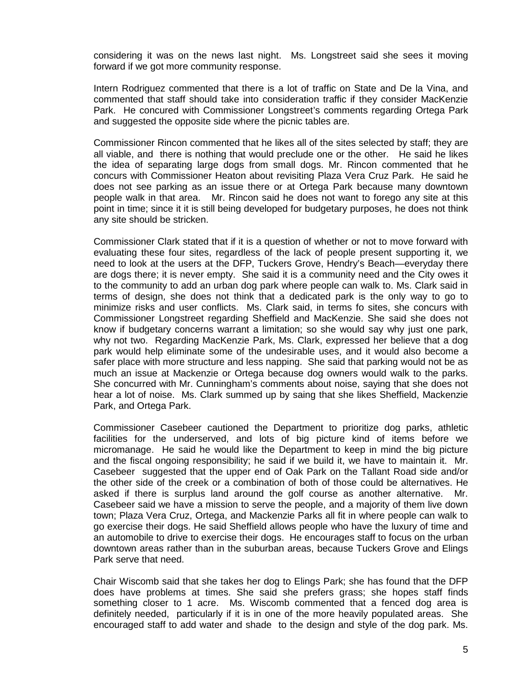considering it was on the news last night. Ms. Longstreet said she sees it moving forward if we got more community response.

Intern Rodriguez commented that there is a lot of traffic on State and De la Vina, and commented that staff should take into consideration traffic if they consider MacKenzie Park. He concured with Commissioner Longstreet's comments regarding Ortega Park and suggested the opposite side where the picnic tables are.

Commissioner Rincon commented that he likes all of the sites selected by staff; they are all viable, and there is nothing that would preclude one or the other. He said he likes the idea of separating large dogs from small dogs. Mr. Rincon commented that he concurs with Commissioner Heaton about revisiting Plaza Vera Cruz Park. He said he does not see parking as an issue there or at Ortega Park because many downtown people walk in that area. Mr. Rincon said he does not want to forego any site at this point in time; since it it is still being developed for budgetary purposes, he does not think any site should be stricken.

Commissioner Clark stated that if it is a question of whether or not to move forward with evaluating these four sites, regardless of the lack of people present supporting it, we need to look at the users at the DFP, Tuckers Grove, Hendry's Beach—everyday there are dogs there; it is never empty. She said it is a community need and the City owes it to the community to add an urban dog park where people can walk to. Ms. Clark said in terms of design, she does not think that a dedicated park is the only way to go to minimize risks and user conflicts. Ms. Clark said, in terms fo sites, she concurs with Commissioner Longstreet regarding Sheffield and MacKenzie. She said she does not know if budgetary concerns warrant a limitation; so she would say why just one park, why not two. Regarding MacKenzie Park, Ms. Clark, expressed her believe that a dog park would help eliminate some of the undesirable uses, and it would also become a safer place with more structure and less napping. She said that parking would not be as much an issue at Mackenzie or Ortega because dog owners would walk to the parks. She concurred with Mr. Cunningham's comments about noise, saying that she does not hear a lot of noise. Ms. Clark summed up by saing that she likes Sheffield, Mackenzie Park, and Ortega Park.

Commissioner Casebeer cautioned the Department to prioritize dog parks, athletic facilities for the underserved, and lots of big picture kind of items before we micromanage. He said he would like the Department to keep in mind the big picture and the fiscal ongoing responsibility; he said if we build it, we have to maintain it. Mr. Casebeer suggested that the upper end of Oak Park on the Tallant Road side and/or the other side of the creek or a combination of both of those could be alternatives. He asked if there is surplus land around the golf course as another alternative. Mr. Casebeer said we have a mission to serve the people, and a majority of them live down town; Plaza Vera Cruz, Ortega, and Mackenzie Parks all fit in where people can walk to go exercise their dogs. He said Sheffield allows people who have the luxury of time and an automobile to drive to exercise their dogs. He encourages staff to focus on the urban downtown areas rather than in the suburban areas, because Tuckers Grove and Elings Park serve that need.

Chair Wiscomb said that she takes her dog to Elings Park; she has found that the DFP does have problems at times. She said she prefers grass; she hopes staff finds something closer to 1 acre. Ms. Wiscomb commented that a fenced dog area is definitely needed, particularly if it is in one of the more heavily populated areas. She encouraged staff to add water and shade to the design and style of the dog park. Ms.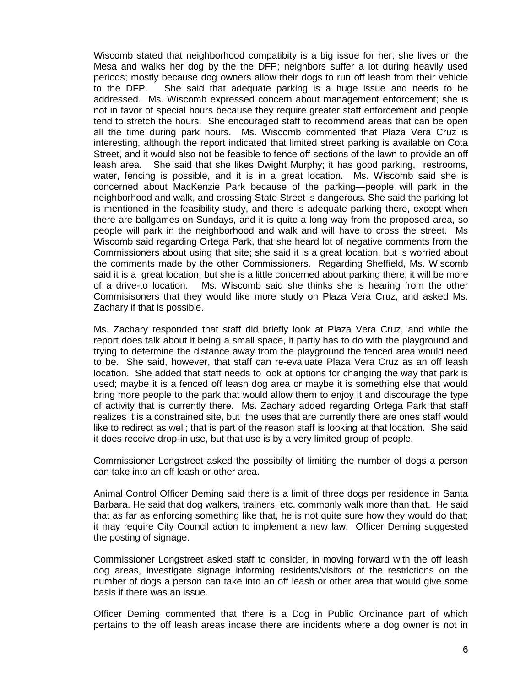Wiscomb stated that neighborhood compatibity is a big issue for her; she lives on the Mesa and walks her dog by the the DFP; neighbors suffer a lot during heavily used periods; mostly because dog owners allow their dogs to run off leash from their vehicle to the DFP. She said that adequate parking is a huge issue and needs to be addressed. Ms. Wiscomb expressed concern about management enforcement; she is not in favor of special hours because they require greater staff enforcement and people tend to stretch the hours. She encouraged staff to recommend areas that can be open all the time during park hours. Ms. Wiscomb commented that Plaza Vera Cruz is interesting, although the report indicated that limited street parking is available on Cota Street, and it would also not be feasible to fence off sections of the lawn to provide an off leash area. She said that she likes Dwight Murphy; it has good parking, restrooms, water, fencing is possible, and it is in a great location. Ms. Wiscomb said she is concerned about MacKenzie Park because of the parking—people will park in the neighborhood and walk, and crossing State Street is dangerous. She said the parking lot is mentioned in the feasibility study, and there is adequate parking there, except when there are ballgames on Sundays, and it is quite a long way from the proposed area, so people will park in the neighborhood and walk and will have to cross the street. Ms Wiscomb said regarding Ortega Park, that she heard lot of negative comments from the Commissioners about using that site; she said it is a great location, but is worried about the comments made by the other Commissioners. Regarding Sheffield, Ms. Wiscomb said it is a great location, but she is a little concerned about parking there; it will be more of a drive-to location. Ms. Wiscomb said she thinks she is hearing from the other Commisisoners that they would like more study on Plaza Vera Cruz, and asked Ms. Zachary if that is possible.

Ms. Zachary responded that staff did briefly look at Plaza Vera Cruz, and while the report does talk about it being a small space, it partly has to do with the playground and trying to determine the distance away from the playground the fenced area would need to be. She said, however, that staff can re-evaluate Plaza Vera Cruz as an off leash location. She added that staff needs to look at options for changing the way that park is used; maybe it is a fenced off leash dog area or maybe it is something else that would bring more people to the park that would allow them to enjoy it and discourage the type of activity that is currently there. Ms. Zachary added regarding Ortega Park that staff realizes it is a constrained site, but the uses that are currently there are ones staff would like to redirect as well; that is part of the reason staff is looking at that location. She said it does receive drop-in use, but that use is by a very limited group of people.

Commissioner Longstreet asked the possibilty of limiting the number of dogs a person can take into an off leash or other area.

Animal Control Officer Deming said there is a limit of three dogs per residence in Santa Barbara. He said that dog walkers, trainers, etc. commonly walk more than that. He said that as far as enforcing something like that, he is not quite sure how they would do that; it may require City Council action to implement a new law. Officer Deming suggested the posting of signage.

Commissioner Longstreet asked staff to consider, in moving forward with the off leash dog areas, investigate signage informing residents/visitors of the restrictions on the number of dogs a person can take into an off leash or other area that would give some basis if there was an issue.

Officer Deming commented that there is a Dog in Public Ordinance part of which pertains to the off leash areas incase there are incidents where a dog owner is not in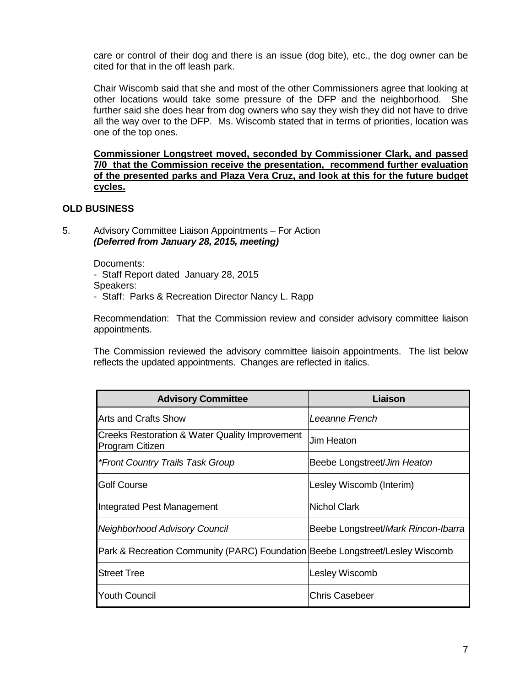care or control of their dog and there is an issue (dog bite), etc., the dog owner can be cited for that in the off leash park.

Chair Wiscomb said that she and most of the other Commissioners agree that looking at other locations would take some pressure of the DFP and the neighborhood. She further said she does hear from dog owners who say they wish they did not have to drive all the way over to the DFP. Ms. Wiscomb stated that in terms of priorities, location was one of the top ones.

**Commissioner Longstreet moved, seconded by Commissioner Clark, and passed 7/0 that the Commission receive the presentation, recommend further evaluation of the presented parks and Plaza Vera Cruz, and look at this for the future budget cycles.** 

### **OLD BUSINESS**

5. Advisory Committee Liaison Appointments – For Action *(Deferred from January 28, 2015, meeting)*

Documents:

- Staff Report dated January 28, 2015
- Speakers:
- Staff: Parks & Recreation Director Nancy L. Rapp

Recommendation: That the Commission review and consider advisory committee liaison appointments.

The Commission reviewed the advisory committee liaisoin appointments. The list below reflects the updated appointments. Changes are reflected in italics.

| <b>Advisory Committee</b>                                                     | Liaison                             |
|-------------------------------------------------------------------------------|-------------------------------------|
| Arts and Crafts Show                                                          | Leeanne French                      |
| Creeks Restoration & Water Quality Improvement<br><b>Program Citizen</b>      | Jim Heaton                          |
| *Front Country Trails Task Group                                              | Beebe Longstreet/Jim Heaton         |
| <b>Golf Course</b>                                                            | Lesley Wiscomb (Interim)            |
| Integrated Pest Management                                                    | Nichol Clark                        |
| Neighborhood Advisory Council                                                 | Beebe Longstreet/Mark Rincon-Ibarra |
| Park & Recreation Community (PARC) Foundation Beebe Longstreet/Lesley Wiscomb |                                     |
| <b>Street Tree</b>                                                            | Lesley Wiscomb                      |
| <b>Youth Council</b>                                                          | <b>Chris Casebeer</b>               |